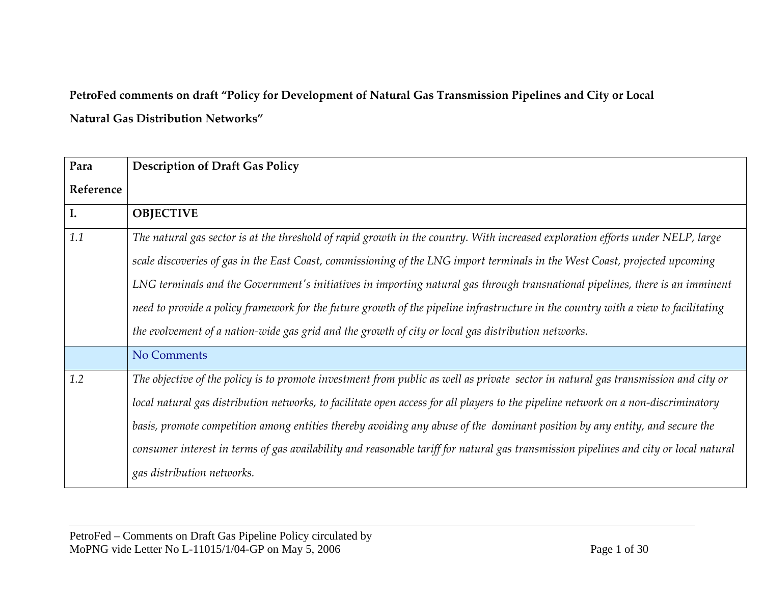## **PetroFed comments on draft "Policy for Development of Natural Gas Transmission Pipelines and City or Local Natural Gas Distribution Networks"**

| Para      | <b>Description of Draft Gas Policy</b>                                                                                                |
|-----------|---------------------------------------------------------------------------------------------------------------------------------------|
| Reference |                                                                                                                                       |
| I.        | <b>OBJECTIVE</b>                                                                                                                      |
| 1.1       | The natural gas sector is at the threshold of rapid growth in the country. With increased exploration efforts under NELP, large       |
|           | scale discoveries of gas in the East Coast, commissioning of the LNG import terminals in the West Coast, projected upcoming           |
|           | LNG terminals and the Government's initiatives in importing natural gas through transnational pipelines, there is an imminent         |
|           | need to provide a policy framework for the future growth of the pipeline infrastructure in the country with a view to facilitating    |
|           | the evolvement of a nation-wide gas grid and the growth of city or local gas distribution networks.                                   |
|           | No Comments                                                                                                                           |
| 1.2       | The objective of the policy is to promote investment from public as well as private sector in natural gas transmission and city or    |
|           | local natural gas distribution networks, to facilitate open access for all players to the pipeline network on a non-discriminatory    |
|           | basis, promote competition among entities thereby avoiding any abuse of the dominant position by any entity, and secure the           |
|           | consumer interest in terms of gas availability and reasonable tariff for natural gas transmission pipelines and city or local natural |
|           | gas distribution networks.                                                                                                            |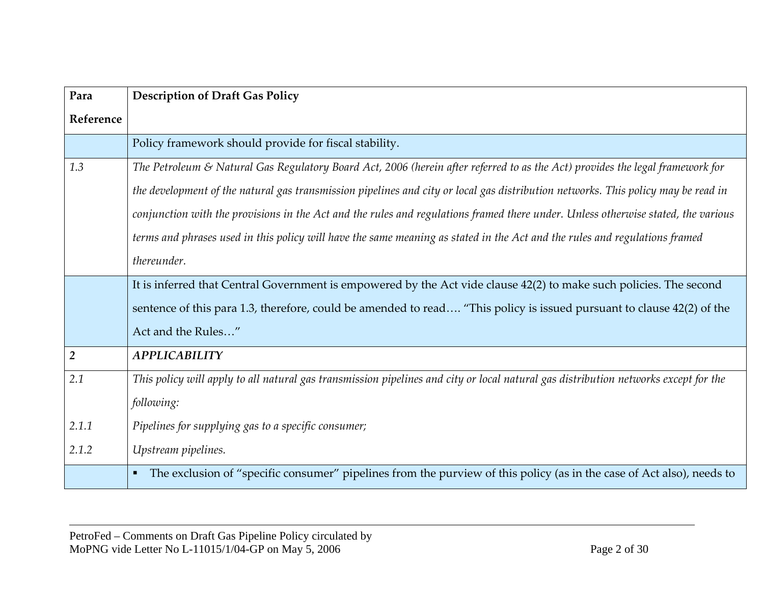| Para           | <b>Description of Draft Gas Policy</b>                                                                                                  |
|----------------|-----------------------------------------------------------------------------------------------------------------------------------------|
| Reference      |                                                                                                                                         |
|                | Policy framework should provide for fiscal stability.                                                                                   |
| 1.3            | The Petroleum & Natural Gas Regulatory Board Act, 2006 (herein after referred to as the Act) provides the legal framework for           |
|                | the development of the natural gas transmission pipelines and city or local gas distribution networks. This policy may be read in       |
|                | conjunction with the provisions in the Act and the rules and regulations framed there under. Unless otherwise stated, the various       |
|                | terms and phrases used in this policy will have the same meaning as stated in the Act and the rules and regulations framed              |
|                | thereunder.                                                                                                                             |
|                | It is inferred that Central Government is empowered by the Act vide clause 42(2) to make such policies. The second                      |
|                | sentence of this para 1.3, therefore, could be amended to read "This policy is issued pursuant to clause 42(2) of the                   |
|                | Act and the Rules"                                                                                                                      |
| $\overline{2}$ | <b>APPLICABILITY</b>                                                                                                                    |
| 2.1            | This policy will apply to all natural gas transmission pipelines and city or local natural gas distribution networks except for the     |
|                | following:                                                                                                                              |
| 2.1.1          | Pipelines for supplying gas to a specific consumer;                                                                                     |
| 2.1.2          | Upstream pipelines.                                                                                                                     |
|                | The exclusion of "specific consumer" pipelines from the purview of this policy (as in the case of Act also), needs to<br>$\blacksquare$ |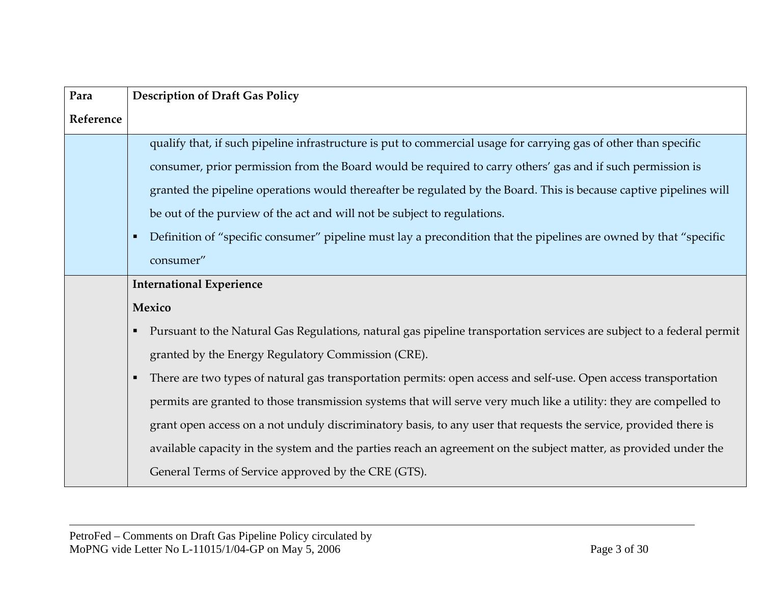| Para      | <b>Description of Draft Gas Policy</b>                                                                                      |
|-----------|-----------------------------------------------------------------------------------------------------------------------------|
| Reference |                                                                                                                             |
|           | qualify that, if such pipeline infrastructure is put to commercial usage for carrying gas of other than specific            |
|           | consumer, prior permission from the Board would be required to carry others' gas and if such permission is                  |
|           | granted the pipeline operations would thereafter be regulated by the Board. This is because captive pipelines will          |
|           | be out of the purview of the act and will not be subject to regulations.                                                    |
|           | Definition of "specific consumer" pipeline must lay a precondition that the pipelines are owned by that "specific           |
|           | consumer"                                                                                                                   |
|           | <b>International Experience</b>                                                                                             |
|           | Mexico                                                                                                                      |
|           | Pursuant to the Natural Gas Regulations, natural gas pipeline transportation services are subject to a federal permit<br>н. |
|           | granted by the Energy Regulatory Commission (CRE).                                                                          |
|           | There are two types of natural gas transportation permits: open access and self-use. Open access transportation             |
|           | permits are granted to those transmission systems that will serve very much like a utility: they are compelled to           |
|           | grant open access on a not unduly discriminatory basis, to any user that requests the service, provided there is            |
|           | available capacity in the system and the parties reach an agreement on the subject matter, as provided under the            |
|           | General Terms of Service approved by the CRE (GTS).                                                                         |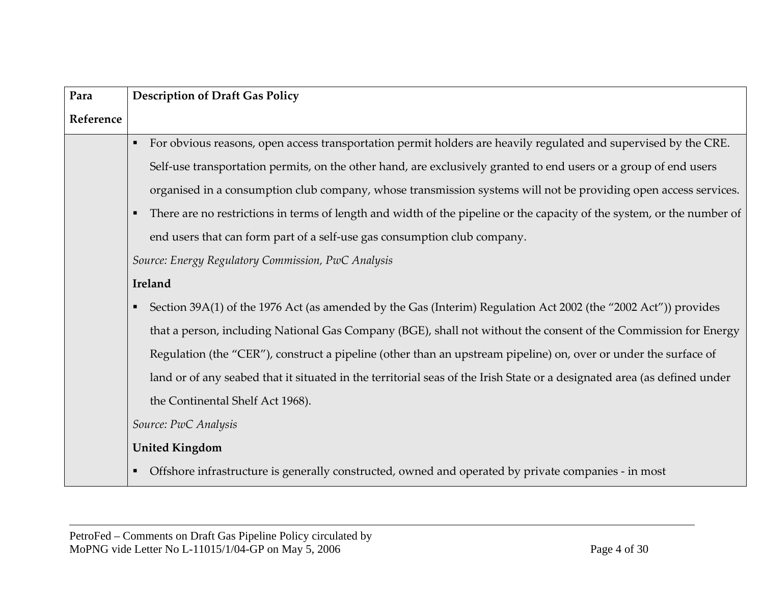| Para      | <b>Description of Draft Gas Policy</b>                                                                                            |
|-----------|-----------------------------------------------------------------------------------------------------------------------------------|
| Reference |                                                                                                                                   |
|           | For obvious reasons, open access transportation permit holders are heavily regulated and supervised by the CRE.<br>$\blacksquare$ |
|           | Self-use transportation permits, on the other hand, are exclusively granted to end users or a group of end users                  |
|           | organised in a consumption club company, whose transmission systems will not be providing open access services.                   |
|           | There are no restrictions in terms of length and width of the pipeline or the capacity of the system, or the number of            |
|           | end users that can form part of a self-use gas consumption club company.                                                          |
|           | Source: Energy Regulatory Commission, PwC Analysis                                                                                |
|           | Ireland                                                                                                                           |
|           | Section 39A(1) of the 1976 Act (as amended by the Gas (Interim) Regulation Act 2002 (the "2002 Act")) provides<br>$\blacksquare$  |
|           | that a person, including National Gas Company (BGE), shall not without the consent of the Commission for Energy                   |
|           | Regulation (the "CER"), construct a pipeline (other than an upstream pipeline) on, over or under the surface of                   |
|           | land or of any seabed that it situated in the territorial seas of the Irish State or a designated area (as defined under          |
|           | the Continental Shelf Act 1968).                                                                                                  |
|           | Source: PwC Analysis                                                                                                              |
|           | <b>United Kingdom</b>                                                                                                             |
|           | Offshore infrastructure is generally constructed, owned and operated by private companies - in most                               |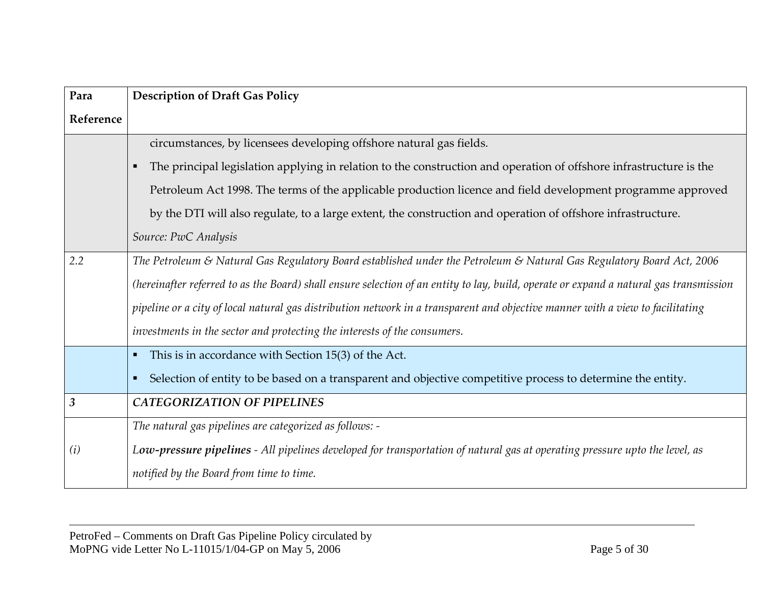| Para           | <b>Description of Draft Gas Policy</b>                                                                                                 |
|----------------|----------------------------------------------------------------------------------------------------------------------------------------|
| Reference      |                                                                                                                                        |
|                | circumstances, by licensees developing offshore natural gas fields.                                                                    |
|                | The principal legislation applying in relation to the construction and operation of offshore infrastructure is the<br>$\blacksquare$   |
|                | Petroleum Act 1998. The terms of the applicable production licence and field development programme approved                            |
|                | by the DTI will also regulate, to a large extent, the construction and operation of offshore infrastructure.                           |
|                | Source: PwC Analysis                                                                                                                   |
| 2.2            | The Petroleum & Natural Gas Regulatory Board established under the Petroleum & Natural Gas Regulatory Board Act, 2006                  |
|                | (hereinafter referred to as the Board) shall ensure selection of an entity to lay, build, operate or expand a natural gas transmission |
|                | pipeline or a city of local natural gas distribution network in a transparent and objective manner with a view to facilitating         |
|                | investments in the sector and protecting the interests of the consumers.                                                               |
|                | This is in accordance with Section 15(3) of the Act.<br>$\blacksquare$                                                                 |
|                | Selection of entity to be based on a transparent and objective competitive process to determine the entity.<br>$\blacksquare$          |
| $\mathfrak{Z}$ | <b>CATEGORIZATION OF PIPELINES</b>                                                                                                     |
|                | The natural gas pipelines are categorized as follows: -                                                                                |
| (i)            | Low-pressure pipelines - All pipelines developed for transportation of natural gas at operating pressure upto the level, as            |
|                | notified by the Board from time to time.                                                                                               |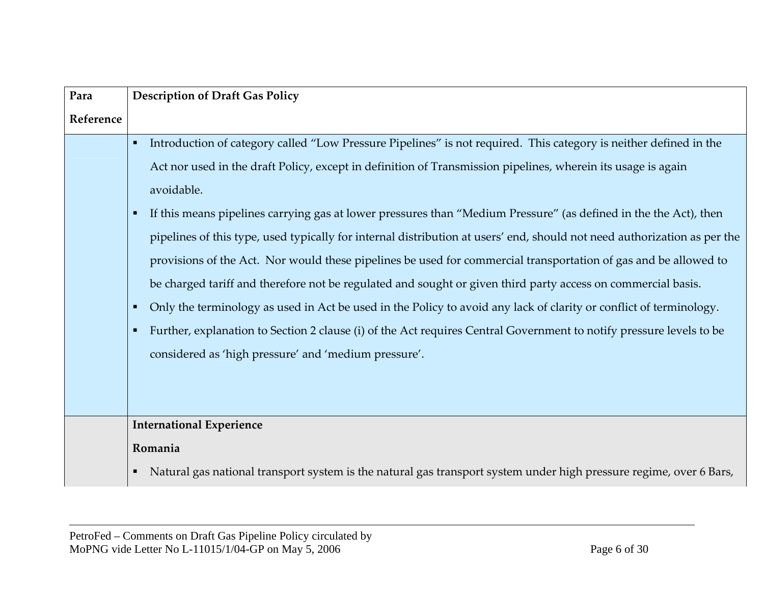| Para      | <b>Description of Draft Gas Policy</b>                                                                                                                                                                                                                                                                                                                                                                                                                                                                                                                                                                                                                                                                                                                                                                                                                                                                                                                                                                                                                      |
|-----------|-------------------------------------------------------------------------------------------------------------------------------------------------------------------------------------------------------------------------------------------------------------------------------------------------------------------------------------------------------------------------------------------------------------------------------------------------------------------------------------------------------------------------------------------------------------------------------------------------------------------------------------------------------------------------------------------------------------------------------------------------------------------------------------------------------------------------------------------------------------------------------------------------------------------------------------------------------------------------------------------------------------------------------------------------------------|
| Reference |                                                                                                                                                                                                                                                                                                                                                                                                                                                                                                                                                                                                                                                                                                                                                                                                                                                                                                                                                                                                                                                             |
|           | Introduction of category called "Low Pressure Pipelines" is not required. This category is neither defined in the<br>٠<br>Act nor used in the draft Policy, except in definition of Transmission pipelines, wherein its usage is again<br>avoidable.<br>If this means pipelines carrying gas at lower pressures than "Medium Pressure" (as defined in the the Act), then<br>п<br>pipelines of this type, used typically for internal distribution at users' end, should not need authorization as per the<br>provisions of the Act. Nor would these pipelines be used for commercial transportation of gas and be allowed to<br>be charged tariff and therefore not be regulated and sought or given third party access on commercial basis.<br>Only the terminology as used in Act be used in the Policy to avoid any lack of clarity or conflict of terminology.<br>п<br>Further, explanation to Section 2 clause (i) of the Act requires Central Government to notify pressure levels to be<br>٠<br>considered as 'high pressure' and 'medium pressure'. |
|           |                                                                                                                                                                                                                                                                                                                                                                                                                                                                                                                                                                                                                                                                                                                                                                                                                                                                                                                                                                                                                                                             |
|           | <b>International Experience</b>                                                                                                                                                                                                                                                                                                                                                                                                                                                                                                                                                                                                                                                                                                                                                                                                                                                                                                                                                                                                                             |
|           | Romania                                                                                                                                                                                                                                                                                                                                                                                                                                                                                                                                                                                                                                                                                                                                                                                                                                                                                                                                                                                                                                                     |
|           | • Natural gas national transport system is the natural gas transport system under high pressure regime, over 6 Bars,                                                                                                                                                                                                                                                                                                                                                                                                                                                                                                                                                                                                                                                                                                                                                                                                                                                                                                                                        |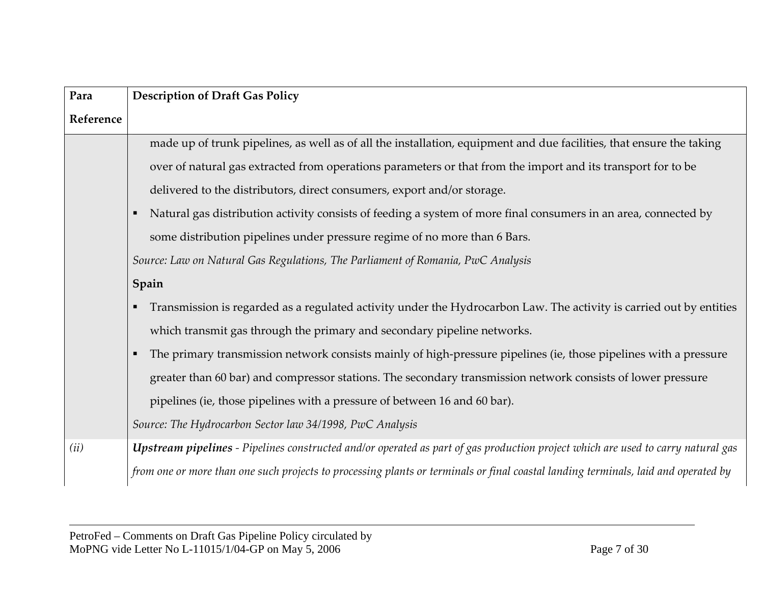| Para      | <b>Description of Draft Gas Policy</b>                                                                                             |
|-----------|------------------------------------------------------------------------------------------------------------------------------------|
| Reference |                                                                                                                                    |
|           | made up of trunk pipelines, as well as of all the installation, equipment and due facilities, that ensure the taking               |
|           | over of natural gas extracted from operations parameters or that from the import and its transport for to be                       |
|           | delivered to the distributors, direct consumers, export and/or storage.                                                            |
|           | Natural gas distribution activity consists of feeding a system of more final consumers in an area, connected by                    |
|           | some distribution pipelines under pressure regime of no more than 6 Bars.                                                          |
|           | Source: Law on Natural Gas Regulations, The Parliament of Romania, PwC Analysis                                                    |
|           | Spain                                                                                                                              |
|           | Transmission is regarded as a regulated activity under the Hydrocarbon Law. The activity is carried out by entities                |
|           | which transmit gas through the primary and secondary pipeline networks.                                                            |
|           | The primary transmission network consists mainly of high-pressure pipelines (ie, those pipelines with a pressure                   |
|           | greater than 60 bar) and compressor stations. The secondary transmission network consists of lower pressure                        |
|           | pipelines (ie, those pipelines with a pressure of between 16 and 60 bar).                                                          |
|           | Source: The Hydrocarbon Sector law 34/1998, PwC Analysis                                                                           |
| (ii)      | Upstream pipelines - Pipelines constructed and/or operated as part of gas production project which are used to carry natural gas   |
|           | from one or more than one such projects to processing plants or terminals or final coastal landing terminals, laid and operated by |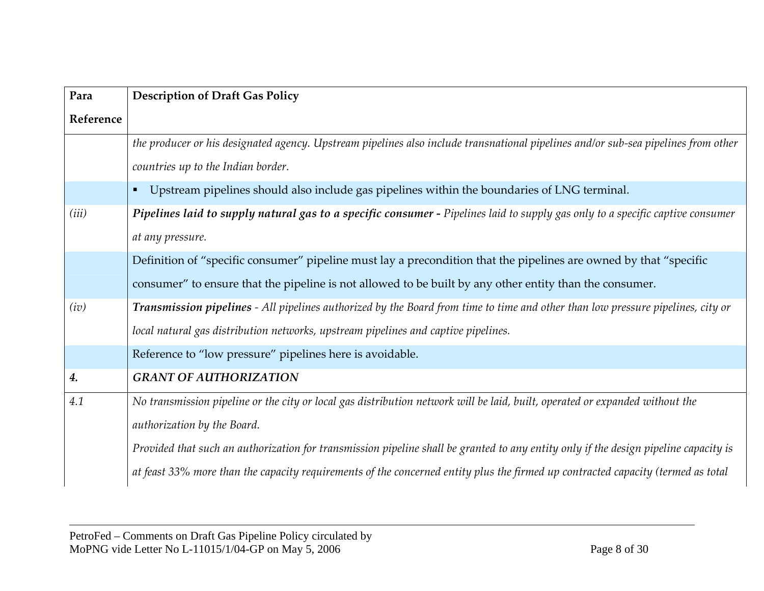| Para      | <b>Description of Draft Gas Policy</b>                                                                                               |
|-----------|--------------------------------------------------------------------------------------------------------------------------------------|
| Reference |                                                                                                                                      |
|           | the producer or his designated agency. Upstream pipelines also include transnational pipelines and/or sub-sea pipelines from other   |
|           | countries up to the Indian border.                                                                                                   |
|           | Upstream pipelines should also include gas pipelines within the boundaries of LNG terminal.                                          |
| (iii)     | Pipelines laid to supply natural gas to a specific consumer - Pipelines laid to supply gas only to a specific captive consumer       |
|           | at any pressure.                                                                                                                     |
|           | Definition of "specific consumer" pipeline must lay a precondition that the pipelines are owned by that "specific                    |
|           | consumer" to ensure that the pipeline is not allowed to be built by any other entity than the consumer.                              |
| (iv)      | Transmission pipelines - All pipelines authorized by the Board from time to time and other than low pressure pipelines, city or      |
|           | local natural gas distribution networks, upstream pipelines and captive pipelines.                                                   |
|           | Reference to "low pressure" pipelines here is avoidable.                                                                             |
| 4.        | <b>GRANT OF AUTHORIZATION</b>                                                                                                        |
| 4.1       | No transmission pipeline or the city or local gas distribution network will be laid, built, operated or expanded without the         |
|           | authorization by the Board.                                                                                                          |
|           | Provided that such an authorization for transmission pipeline shall be granted to any entity only if the design pipeline capacity is |
|           | at feast 33% more than the capacity requirements of the concerned entity plus the firmed up contracted capacity (termed as total     |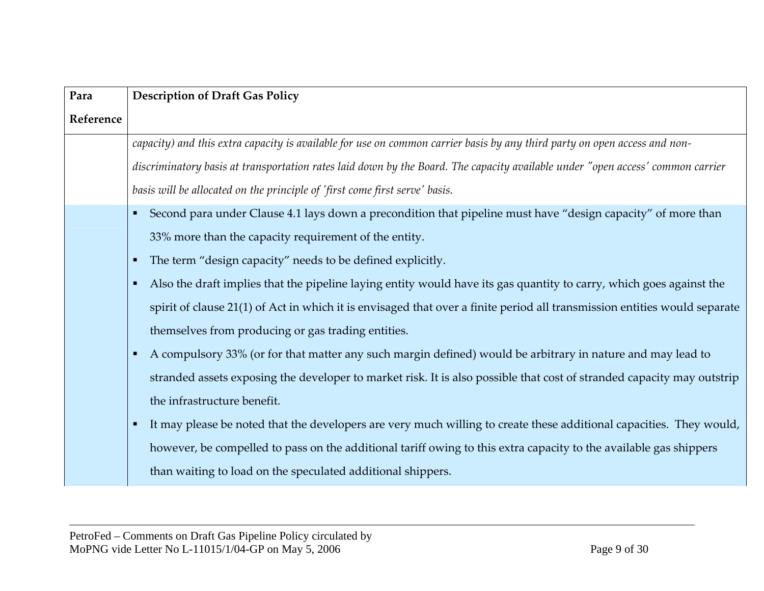| Para      | <b>Description of Draft Gas Policy</b>                                                                                         |
|-----------|--------------------------------------------------------------------------------------------------------------------------------|
| Reference |                                                                                                                                |
|           | capacity) and this extra capacity is available for use on common carrier basis by any third party on open access and non-      |
|           | discriminatory basis at transportation rates laid down by the Board. The capacity available under "open access' common carrier |
|           | basis will be allocated on the principle of 'first come first serve' basis.                                                    |
|           | • Second para under Clause 4.1 lays down a precondition that pipeline must have "design capacity" of more than                 |
|           | 33% more than the capacity requirement of the entity.                                                                          |
|           | The term "design capacity" needs to be defined explicitly.<br>٠                                                                |
|           | Also the draft implies that the pipeline laying entity would have its gas quantity to carry, which goes against the<br>٠       |
|           | spirit of clause 21(1) of Act in which it is envisaged that over a finite period all transmission entities would separate      |
|           | themselves from producing or gas trading entities.                                                                             |
|           | A compulsory 33% (or for that matter any such margin defined) would be arbitrary in nature and may lead to<br>п.               |
|           | stranded assets exposing the developer to market risk. It is also possible that cost of stranded capacity may outstrip         |
|           | the infrastructure benefit.                                                                                                    |
|           | It may please be noted that the developers are very much willing to create these additional capacities. They would,<br>٠       |
|           | however, be compelled to pass on the additional tariff owing to this extra capacity to the available gas shippers              |
|           | than waiting to load on the speculated additional shippers.                                                                    |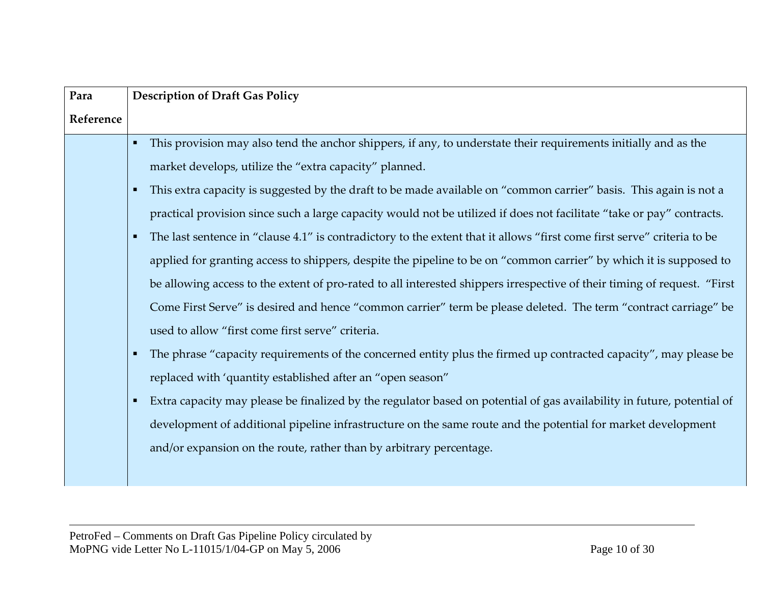| Para      | <b>Description of Draft Gas Policy</b>                                                                                                                                                                                                                                                                                                                                                                                                                                                                                                                                                                                                                                                                                                                                                                                                                                                                                                                                                                                                                                                                                                                                                                                                                                                                                                                                                                                                                                         |
|-----------|--------------------------------------------------------------------------------------------------------------------------------------------------------------------------------------------------------------------------------------------------------------------------------------------------------------------------------------------------------------------------------------------------------------------------------------------------------------------------------------------------------------------------------------------------------------------------------------------------------------------------------------------------------------------------------------------------------------------------------------------------------------------------------------------------------------------------------------------------------------------------------------------------------------------------------------------------------------------------------------------------------------------------------------------------------------------------------------------------------------------------------------------------------------------------------------------------------------------------------------------------------------------------------------------------------------------------------------------------------------------------------------------------------------------------------------------------------------------------------|
| Reference |                                                                                                                                                                                                                                                                                                                                                                                                                                                                                                                                                                                                                                                                                                                                                                                                                                                                                                                                                                                                                                                                                                                                                                                                                                                                                                                                                                                                                                                                                |
|           | This provision may also tend the anchor shippers, if any, to understate their requirements initially and as the<br>market develops, utilize the "extra capacity" planned.<br>This extra capacity is suggested by the draft to be made available on "common carrier" basis. This again is not a<br>practical provision since such a large capacity would not be utilized if does not facilitate "take or pay" contracts.<br>The last sentence in "clause 4.1" is contradictory to the extent that it allows "first come first serve" criteria to be<br>applied for granting access to shippers, despite the pipeline to be on "common carrier" by which it is supposed to<br>be allowing access to the extent of pro-rated to all interested shippers irrespective of their timing of request. "First<br>Come First Serve" is desired and hence "common carrier" term be please deleted. The term "contract carriage" be<br>used to allow "first come first serve" criteria.<br>The phrase "capacity requirements of the concerned entity plus the firmed up contracted capacity", may please be<br>replaced with 'quantity established after an "open season"<br>Extra capacity may please be finalized by the regulator based on potential of gas availability in future, potential of<br>development of additional pipeline infrastructure on the same route and the potential for market development<br>and/or expansion on the route, rather than by arbitrary percentage. |
|           |                                                                                                                                                                                                                                                                                                                                                                                                                                                                                                                                                                                                                                                                                                                                                                                                                                                                                                                                                                                                                                                                                                                                                                                                                                                                                                                                                                                                                                                                                |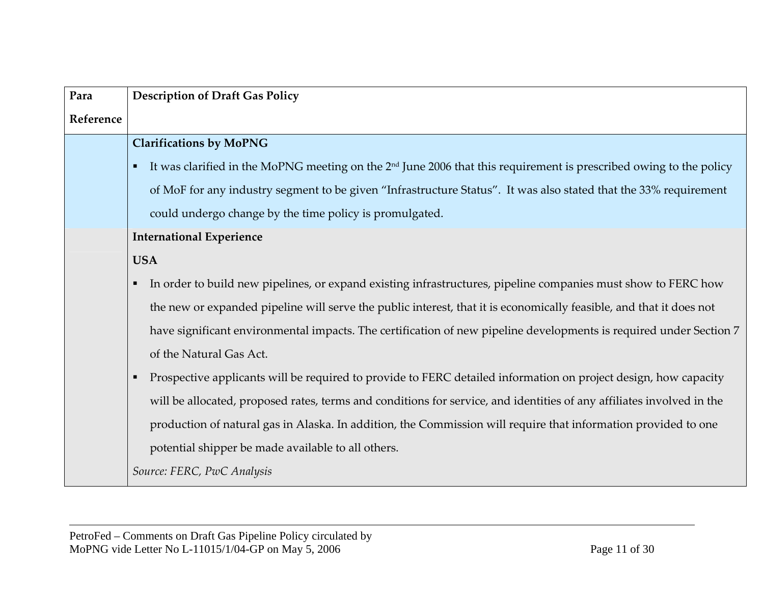| Para      | <b>Description of Draft Gas Policy</b>                                                                                                 |
|-----------|----------------------------------------------------------------------------------------------------------------------------------------|
| Reference |                                                                                                                                        |
|           | <b>Clarifications by MoPNG</b>                                                                                                         |
|           | It was clarified in the MoPNG meeting on the $2nd$ June 2006 that this requirement is prescribed owing to the policy<br>$\blacksquare$ |
|           | of MoF for any industry segment to be given "Infrastructure Status". It was also stated that the 33% requirement                       |
|           | could undergo change by the time policy is promulgated.                                                                                |
|           | <b>International Experience</b>                                                                                                        |
|           | <b>USA</b>                                                                                                                             |
|           | In order to build new pipelines, or expand existing infrastructures, pipeline companies must show to FERC how                          |
|           | the new or expanded pipeline will serve the public interest, that it is economically feasible, and that it does not                    |
|           | have significant environmental impacts. The certification of new pipeline developments is required under Section 7                     |
|           | of the Natural Gas Act.                                                                                                                |
|           | Prospective applicants will be required to provide to FERC detailed information on project design, how capacity<br>$\blacksquare$      |
|           | will be allocated, proposed rates, terms and conditions for service, and identities of any affiliates involved in the                  |
|           | production of natural gas in Alaska. In addition, the Commission will require that information provided to one                         |
|           | potential shipper be made available to all others.                                                                                     |
|           | Source: FERC, PwC Analysis                                                                                                             |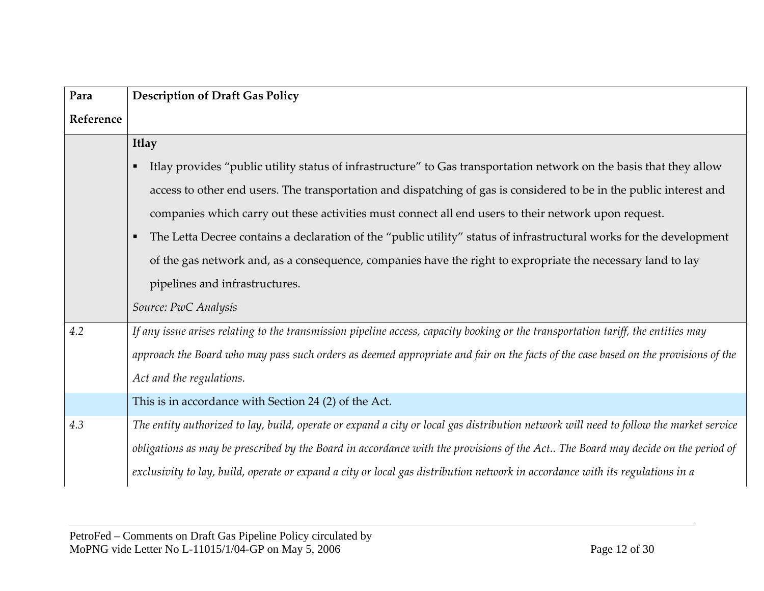| Para      | <b>Description of Draft Gas Policy</b>                                                                                                 |
|-----------|----------------------------------------------------------------------------------------------------------------------------------------|
| Reference |                                                                                                                                        |
|           | <b>Itlay</b>                                                                                                                           |
|           | Itlay provides "public utility status of infrastructure" to Gas transportation network on the basis that they allow                    |
|           | access to other end users. The transportation and dispatching of gas is considered to be in the public interest and                    |
|           | companies which carry out these activities must connect all end users to their network upon request.                                   |
|           | The Letta Decree contains a declaration of the "public utility" status of infrastructural works for the development                    |
|           | of the gas network and, as a consequence, companies have the right to expropriate the necessary land to lay                            |
|           | pipelines and infrastructures.                                                                                                         |
|           | Source: PwC Analysis                                                                                                                   |
| 4.2       | If any issue arises relating to the transmission pipeline access, capacity booking or the transportation tariff, the entities may      |
|           | approach the Board who may pass such orders as deemed appropriate and fair on the facts of the case based on the provisions of the     |
|           | Act and the regulations.                                                                                                               |
|           | This is in accordance with Section 24 (2) of the Act.                                                                                  |
| 4.3       | The entity authorized to lay, build, operate or expand a city or local gas distribution network will need to follow the market service |
|           | obligations as may be prescribed by the Board in accordance with the provisions of the Act The Board may decide on the period of       |
|           | exclusivity to lay, build, operate or expand a city or local gas distribution network in accordance with its regulations in a          |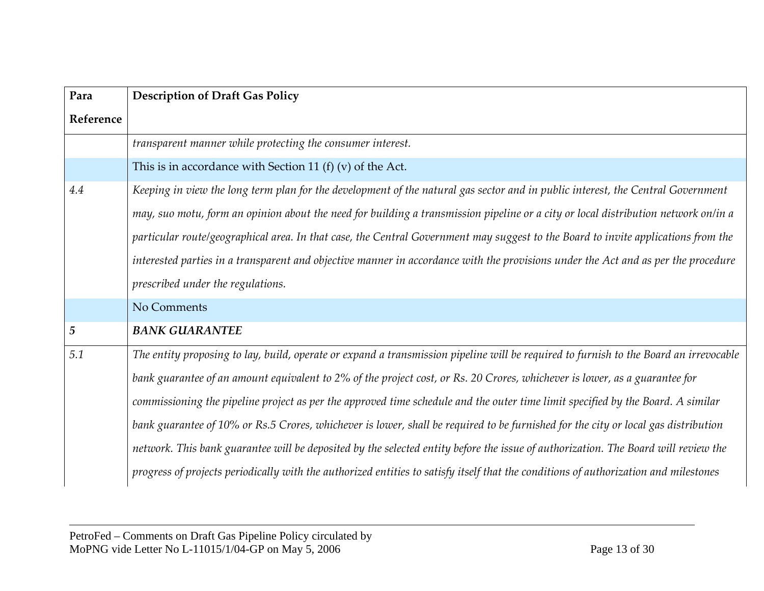| Para           | <b>Description of Draft Gas Policy</b>                                                                                                |
|----------------|---------------------------------------------------------------------------------------------------------------------------------------|
| Reference      |                                                                                                                                       |
|                | transparent manner while protecting the consumer interest.                                                                            |
|                | This is in accordance with Section 11 (f) (v) of the Act.                                                                             |
| 4.4            | Keeping in view the long term plan for the development of the natural gas sector and in public interest, the Central Government       |
|                | may, suo motu, form an opinion about the need for building a transmission pipeline or a city or local distribution network on/in a    |
|                | particular route/geographical area. In that case, the Central Government may suggest to the Board to invite applications from the     |
|                | interested parties in a transparent and objective manner in accordance with the provisions under the Act and as per the procedure     |
|                | prescribed under the regulations.                                                                                                     |
|                | No Comments                                                                                                                           |
| $\overline{5}$ | <b>BANK GUARANTEE</b>                                                                                                                 |
| 5.1            | The entity proposing to lay, build, operate or expand a transmission pipeline will be required to furnish to the Board an irrevocable |
|                | bank guarantee of an amount equivalent to 2% of the project cost, or Rs. 20 Crores, whichever is lower, as a guarantee for            |
|                | commissioning the pipeline project as per the approved time schedule and the outer time limit specified by the Board. A similar       |
|                | bank guarantee of 10% or Rs.5 Crores, whichever is lower, shall be required to be furnished for the city or local gas distribution    |
|                | network. This bank guarantee will be deposited by the selected entity before the issue of authorization. The Board will review the    |
|                | progress of projects periodically with the authorized entities to satisfy itself that the conditions of authorization and milestones  |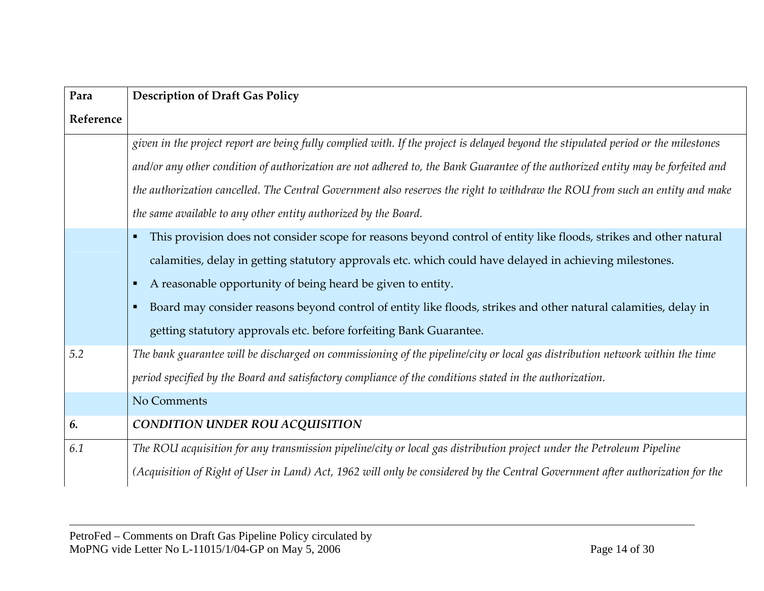| Para      | <b>Description of Draft Gas Policy</b>                                                                                              |
|-----------|-------------------------------------------------------------------------------------------------------------------------------------|
| Reference |                                                                                                                                     |
|           | given in the project report are being fully complied with. If the project is delayed beyond the stipulated period or the milestones |
|           | and/or any other condition of authorization are not adhered to, the Bank Guarantee of the authorized entity may be forfeited and    |
|           | the authorization cancelled. The Central Government also reserves the right to withdraw the ROU from such an entity and make        |
|           | the same available to any other entity authorized by the Board.                                                                     |
|           | This provision does not consider scope for reasons beyond control of entity like floods, strikes and other natural                  |
|           | calamities, delay in getting statutory approvals etc. which could have delayed in achieving milestones.                             |
|           | A reasonable opportunity of being heard be given to entity.<br>п                                                                    |
|           | Board may consider reasons beyond control of entity like floods, strikes and other natural calamities, delay in                     |
|           | getting statutory approvals etc. before forfeiting Bank Guarantee.                                                                  |
| 5.2       | The bank guarantee will be discharged on commissioning of the pipeline/city or local gas distribution network within the time       |
|           | period specified by the Board and satisfactory compliance of the conditions stated in the authorization.                            |
|           | No Comments                                                                                                                         |
| 6.        | <b>CONDITION UNDER ROU ACQUISITION</b>                                                                                              |
| 6.1       | The ROU acquisition for any transmission pipeline/city or local gas distribution project under the Petroleum Pipeline               |
|           | (Acquisition of Right of User in Land) Act, 1962 will only be considered by the Central Government after authorization for the      |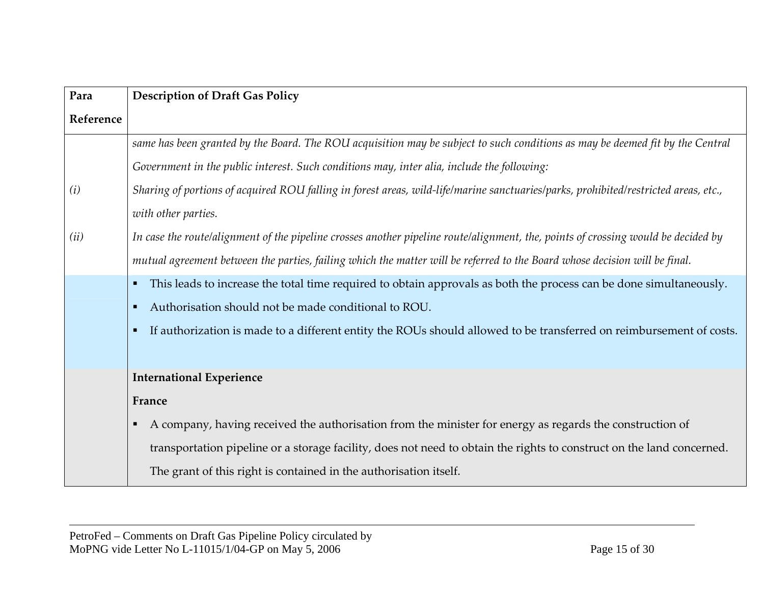| Para      | <b>Description of Draft Gas Policy</b>                                                                                              |
|-----------|-------------------------------------------------------------------------------------------------------------------------------------|
| Reference |                                                                                                                                     |
|           | same has been granted by the Board. The ROU acquisition may be subject to such conditions as may be deemed fit by the Central       |
|           | Government in the public interest. Such conditions may, inter alia, include the following:                                          |
| (i)       | Sharing of portions of acquired ROU falling in forest areas, wild-life/marine sanctuaries/parks, prohibited/restricted areas, etc., |
|           | with other parties.                                                                                                                 |
| (ii)      | In case the routelalignment of the pipeline crosses another pipeline routelalignment, the, points of crossing would be decided by   |
|           | mutual agreement between the parties, failing which the matter will be referred to the Board whose decision will be final.          |
|           | This leads to increase the total time required to obtain approvals as both the process can be done simultaneously.                  |
|           | Authorisation should not be made conditional to ROU.                                                                                |
|           | If authorization is made to a different entity the ROUs should allowed to be transferred on reimbursement of costs.                 |
|           |                                                                                                                                     |
|           | <b>International Experience</b>                                                                                                     |
|           | France                                                                                                                              |
|           | A company, having received the authorisation from the minister for energy as regards the construction of                            |
|           | transportation pipeline or a storage facility, does not need to obtain the rights to construct on the land concerned.               |
|           | The grant of this right is contained in the authorisation itself.                                                                   |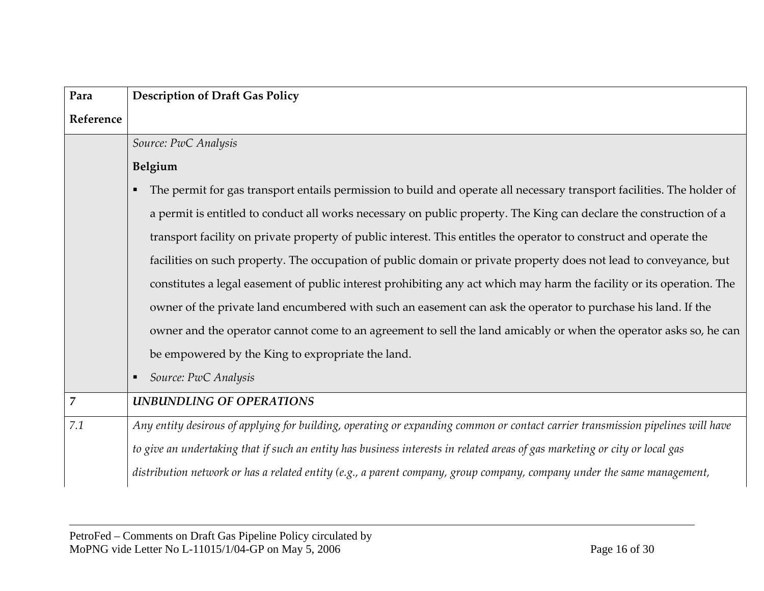| Para           | <b>Description of Draft Gas Policy</b>                                                                                          |
|----------------|---------------------------------------------------------------------------------------------------------------------------------|
| Reference      |                                                                                                                                 |
|                | Source: PwC Analysis                                                                                                            |
|                | Belgium                                                                                                                         |
|                | The permit for gas transport entails permission to build and operate all necessary transport facilities. The holder of          |
|                | a permit is entitled to conduct all works necessary on public property. The King can declare the construction of a              |
|                | transport facility on private property of public interest. This entitles the operator to construct and operate the              |
|                | facilities on such property. The occupation of public domain or private property does not lead to conveyance, but               |
|                | constitutes a legal easement of public interest prohibiting any act which may harm the facility or its operation. The           |
|                | owner of the private land encumbered with such an easement can ask the operator to purchase his land. If the                    |
|                | owner and the operator cannot come to an agreement to sell the land amicably or when the operator asks so, he can               |
|                | be empowered by the King to expropriate the land.                                                                               |
|                | Source: PwC Analysis<br>$\blacksquare$                                                                                          |
| $\overline{7}$ | <b>UNBUNDLING OF OPERATIONS</b>                                                                                                 |
| 7.1            | Any entity desirous of applying for building, operating or expanding common or contact carrier transmission pipelines will have |
|                | to give an undertaking that if such an entity has business interests in related areas of gas marketing or city or local gas     |
|                | distribution network or has a related entity (e.g., a parent company, group company, company under the same management,         |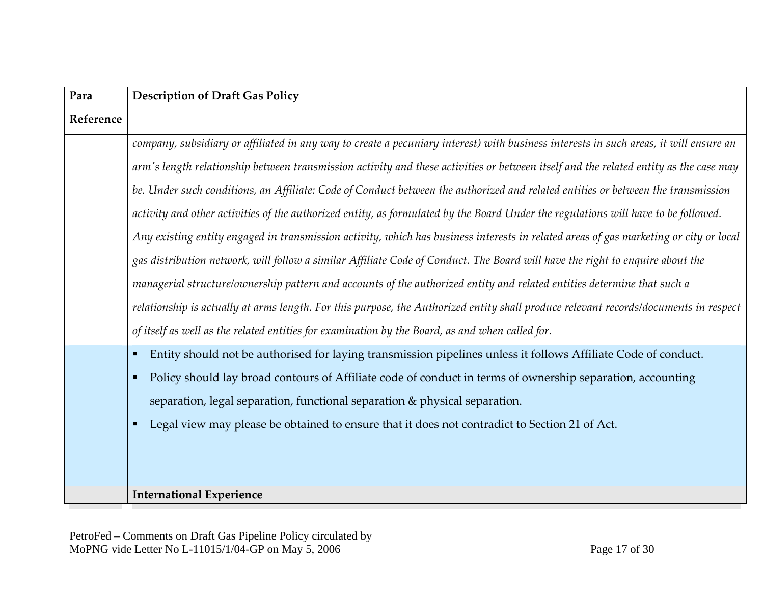| Para      | <b>Description of Draft Gas Policy</b>                                                                                                |
|-----------|---------------------------------------------------------------------------------------------------------------------------------------|
| Reference |                                                                                                                                       |
|           | company, subsidiary or affiliated in any way to create a pecuniary interest) with business interests in such areas, it will ensure an |
|           | arm's length relationship between transmission activity and these activities or between itself and the related entity as the case may |
|           | be. Under such conditions, an Affiliate: Code of Conduct between the authorized and related entities or between the transmission      |
|           | activity and other activities of the authorized entity, as formulated by the Board Under the regulations will have to be followed.    |
|           | Any existing entity engaged in transmission activity, which has business interests in related areas of gas marketing or city or local |
|           | gas distribution network, will follow a similar Affiliate Code of Conduct. The Board will have the right to enquire about the         |
|           | managerial structure/ownership pattern and accounts of the authorized entity and related entities determine that such a               |
|           | relationship is actually at arms length. For this purpose, the Authorized entity shall produce relevant records/documents in respect  |
|           | of itself as well as the related entities for examination by the Board, as and when called for.                                       |
|           | Entity should not be authorised for laying transmission pipelines unless it follows Affiliate Code of conduct.<br>л                   |
|           | Policy should lay broad contours of Affiliate code of conduct in terms of ownership separation, accounting<br>л                       |
|           | separation, legal separation, functional separation & physical separation.                                                            |
|           | Legal view may please be obtained to ensure that it does not contradict to Section 21 of Act.<br>л                                    |
|           |                                                                                                                                       |
|           |                                                                                                                                       |
|           | <b>International Experience</b>                                                                                                       |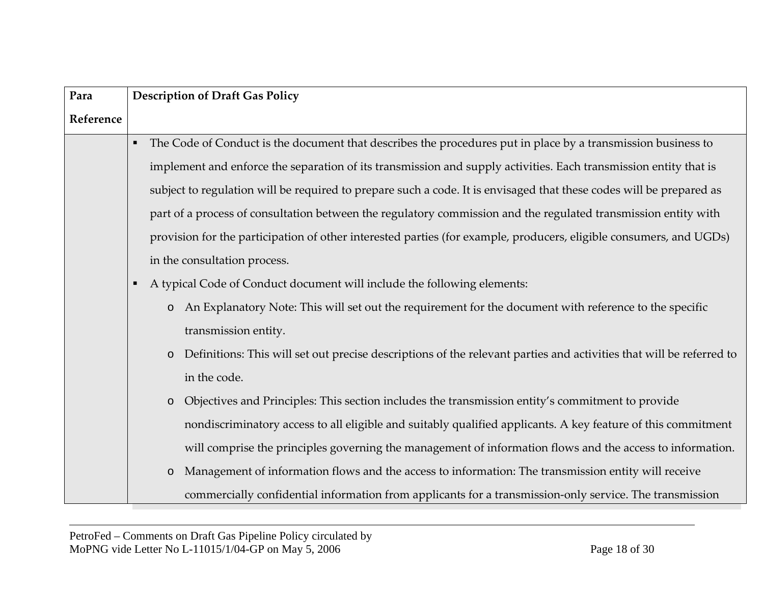| Para      | <b>Description of Draft Gas Policy</b>                                                                                         |  |  |  |  |  |  |
|-----------|--------------------------------------------------------------------------------------------------------------------------------|--|--|--|--|--|--|
| Reference |                                                                                                                                |  |  |  |  |  |  |
|           | The Code of Conduct is the document that describes the procedures put in place by a transmission business to                   |  |  |  |  |  |  |
|           | implement and enforce the separation of its transmission and supply activities. Each transmission entity that is               |  |  |  |  |  |  |
|           | subject to regulation will be required to prepare such a code. It is envisaged that these codes will be prepared as            |  |  |  |  |  |  |
|           | part of a process of consultation between the regulatory commission and the regulated transmission entity with                 |  |  |  |  |  |  |
|           | provision for the participation of other interested parties (for example, producers, eligible consumers, and UGDs)             |  |  |  |  |  |  |
|           | in the consultation process.                                                                                                   |  |  |  |  |  |  |
|           | A typical Code of Conduct document will include the following elements:                                                        |  |  |  |  |  |  |
|           | o An Explanatory Note: This will set out the requirement for the document with reference to the specific                       |  |  |  |  |  |  |
|           | transmission entity.                                                                                                           |  |  |  |  |  |  |
|           | Definitions: This will set out precise descriptions of the relevant parties and activities that will be referred to<br>$\circ$ |  |  |  |  |  |  |
|           | in the code.                                                                                                                   |  |  |  |  |  |  |
|           | Objectives and Principles: This section includes the transmission entity's commitment to provide<br>$\circ$                    |  |  |  |  |  |  |
|           | nondiscriminatory access to all eligible and suitably qualified applicants. A key feature of this commitment                   |  |  |  |  |  |  |
|           | will comprise the principles governing the management of information flows and the access to information.                      |  |  |  |  |  |  |
|           | Management of information flows and the access to information: The transmission entity will receive<br>$\circ$                 |  |  |  |  |  |  |
|           | commercially confidential information from applicants for a transmission-only service. The transmission                        |  |  |  |  |  |  |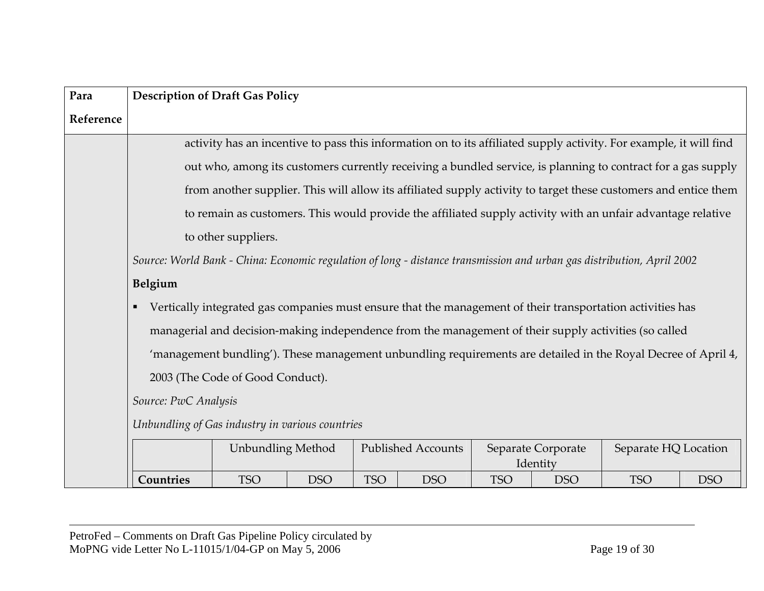| Para      | <b>Description of Draft Gas Policy</b>                                                                                 |                                  |            |            |                           |            |                    |                                                                                                                    |            |
|-----------|------------------------------------------------------------------------------------------------------------------------|----------------------------------|------------|------------|---------------------------|------------|--------------------|--------------------------------------------------------------------------------------------------------------------|------------|
| Reference |                                                                                                                        |                                  |            |            |                           |            |                    |                                                                                                                    |            |
|           |                                                                                                                        |                                  |            |            |                           |            |                    | activity has an incentive to pass this information on to its affiliated supply activity. For example, it will find |            |
|           |                                                                                                                        |                                  |            |            |                           |            |                    | out who, among its customers currently receiving a bundled service, is planning to contract for a gas supply       |            |
|           |                                                                                                                        |                                  |            |            |                           |            |                    | from another supplier. This will allow its affiliated supply activity to target these customers and entice them    |            |
|           |                                                                                                                        |                                  |            |            |                           |            |                    | to remain as customers. This would provide the affiliated supply activity with an unfair advantage relative        |            |
|           |                                                                                                                        | to other suppliers.              |            |            |                           |            |                    |                                                                                                                    |            |
|           | Source: World Bank - China: Economic regulation of long - distance transmission and urban gas distribution, April 2002 |                                  |            |            |                           |            |                    |                                                                                                                    |            |
|           | Belgium                                                                                                                |                                  |            |            |                           |            |                    |                                                                                                                    |            |
|           | Vertically integrated gas companies must ensure that the management of their transportation activities has             |                                  |            |            |                           |            |                    |                                                                                                                    |            |
|           | managerial and decision-making independence from the management of their supply activities (so called                  |                                  |            |            |                           |            |                    |                                                                                                                    |            |
|           | 'management bundling'). These management unbundling requirements are detailed in the Royal Decree of April 4,          |                                  |            |            |                           |            |                    |                                                                                                                    |            |
|           |                                                                                                                        | 2003 (The Code of Good Conduct). |            |            |                           |            |                    |                                                                                                                    |            |
|           | Source: PwC Analysis                                                                                                   |                                  |            |            |                           |            |                    |                                                                                                                    |            |
|           | Unbundling of Gas industry in various countries                                                                        |                                  |            |            |                           |            |                    |                                                                                                                    |            |
|           |                                                                                                                        | <b>Unbundling Method</b>         |            |            | <b>Published Accounts</b> |            | Separate Corporate | Separate HQ Location                                                                                               |            |
|           |                                                                                                                        |                                  |            |            |                           |            | Identity           |                                                                                                                    |            |
|           | Countries                                                                                                              | <b>TSO</b>                       | <b>DSO</b> | <b>TSO</b> | <b>DSO</b>                | <b>TSO</b> | <b>DSO</b>         | <b>TSO</b>                                                                                                         | <b>DSO</b> |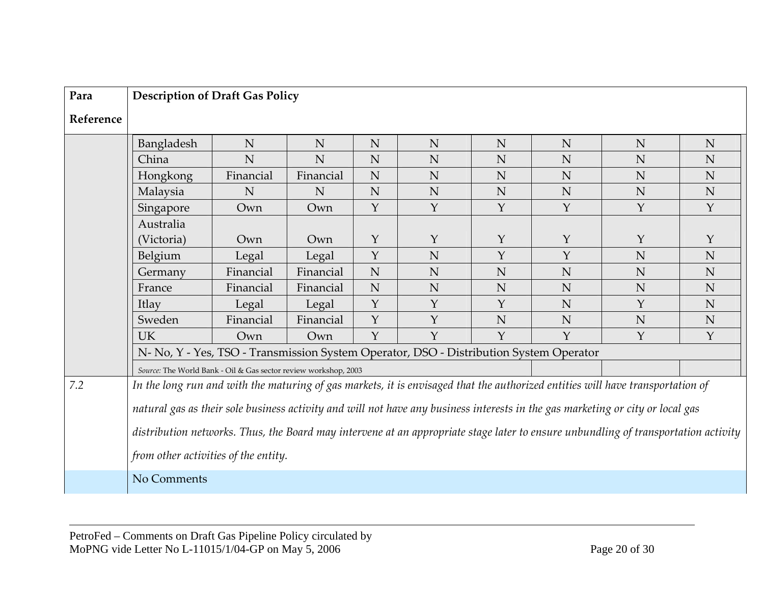| Para      | <b>Description of Draft Gas Policy</b>                                                                                             |             |           |              |                                                                                        |              |              |              |             |
|-----------|------------------------------------------------------------------------------------------------------------------------------------|-------------|-----------|--------------|----------------------------------------------------------------------------------------|--------------|--------------|--------------|-------------|
| Reference |                                                                                                                                    |             |           |              |                                                                                        |              |              |              |             |
|           | Bangladesh                                                                                                                         | N           | N         | N            | N                                                                                      | N            | N            | N            | N           |
|           | China                                                                                                                              | $\mathbf N$ | N         | N            | N                                                                                      | N            | N            | N            | N           |
|           | Hongkong                                                                                                                           | Financial   | Financial | N            | N                                                                                      | N            | N            | N            | N           |
|           | Malaysia                                                                                                                           | ${\bf N}$   | N         | N            | N                                                                                      | $\mathbf N$  | N            | N            | N           |
|           | Singapore                                                                                                                          | Own         | Own       | Y            | $\mathbf{Y}$                                                                           | $\mathbf{Y}$ | $\mathbf{Y}$ | $\mathbf{Y}$ | Y           |
|           | Australia                                                                                                                          |             |           |              |                                                                                        |              |              |              |             |
|           | (Victoria)                                                                                                                         | Own         | Own       | $\mathbf{Y}$ | $\mathbf Y$                                                                            | $\mathbf Y$  | Y            | Y            | $\mathbf Y$ |
|           | Belgium                                                                                                                            | Legal       | Legal     | Y            | N                                                                                      | Y            | Y            | N            | N           |
|           | Germany                                                                                                                            | Financial   | Financial | N            | N                                                                                      | N            | N            | N            | N           |
|           | France                                                                                                                             | Financial   | Financial | N            | N                                                                                      | $\mathbf N$  | N            | N            | N           |
|           | Itlay                                                                                                                              | Legal       | Legal     | $\mathbf Y$  | $\mathbf{Y}$                                                                           | $\mathbf{Y}$ | N            | Y            | N           |
|           | Sweden                                                                                                                             | Financial   | Financial | Y            | Y                                                                                      | N            | N            | N            | N           |
|           | <b>UK</b>                                                                                                                          | Own         | Own       | $\mathbf Y$  | $\mathbf Y$                                                                            | $\mathbf Y$  | $\mathbf{Y}$ | Y            | Y           |
|           |                                                                                                                                    |             |           |              | N- No, Y - Yes, TSO - Transmission System Operator, DSO - Distribution System Operator |              |              |              |             |
|           | Source: The World Bank - Oil & Gas sector review workshop, 2003                                                                    |             |           |              |                                                                                        |              |              |              |             |
| 7.2       | In the long run and with the maturing of gas markets, it is envisaged that the authorized entities will have transportation of     |             |           |              |                                                                                        |              |              |              |             |
|           | natural gas as their sole business activity and will not have any business interests in the gas marketing or city or local gas     |             |           |              |                                                                                        |              |              |              |             |
|           |                                                                                                                                    |             |           |              |                                                                                        |              |              |              |             |
|           | distribution networks. Thus, the Board may intervene at an appropriate stage later to ensure unbundling of transportation activity |             |           |              |                                                                                        |              |              |              |             |
|           | from other activities of the entity.                                                                                               |             |           |              |                                                                                        |              |              |              |             |
|           | No Comments                                                                                                                        |             |           |              |                                                                                        |              |              |              |             |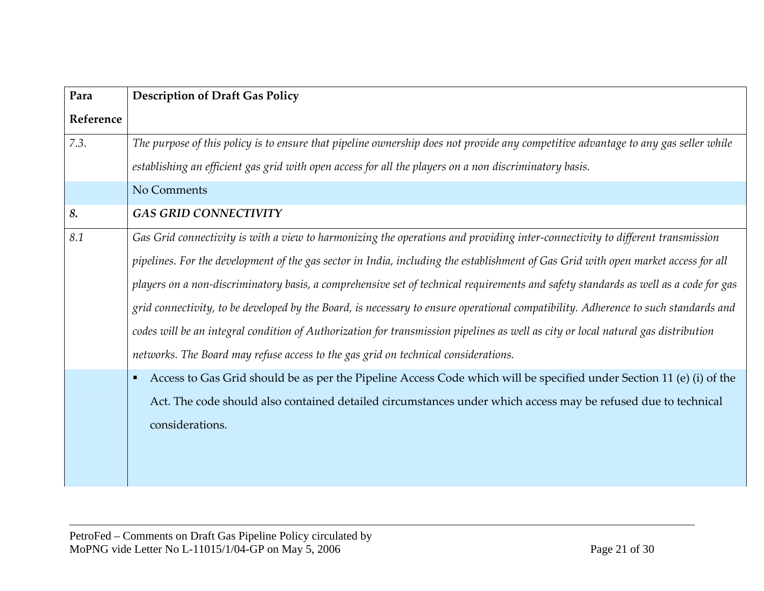| Para      | <b>Description of Draft Gas Policy</b>                                                                                                 |
|-----------|----------------------------------------------------------------------------------------------------------------------------------------|
| Reference |                                                                                                                                        |
| 7.3.      | The purpose of this policy is to ensure that pipeline ownership does not provide any competitive advantage to any gas seller while     |
|           | establishing an efficient gas grid with open access for all the players on a non discriminatory basis.                                 |
|           | No Comments                                                                                                                            |
| 8.        | <b>GAS GRID CONNECTIVITY</b>                                                                                                           |
| 8.1       | Gas Grid connectivity is with a view to harmonizing the operations and providing inter-connectivity to different transmission          |
|           | pipelines. For the development of the gas sector in India, including the establishment of Gas Grid with open market access for all     |
|           | players on a non-discriminatory basis, a comprehensive set of technical requirements and safety standards as well as a code for gas    |
|           | grid connectivity, to be developed by the Board, is necessary to ensure operational compatibility. Adherence to such standards and     |
|           | codes will be an integral condition of Authorization for transmission pipelines as well as city or local natural gas distribution      |
|           | networks. The Board may refuse access to the gas grid on technical considerations.                                                     |
|           | Access to Gas Grid should be as per the Pipeline Access Code which will be specified under Section 11 (e) (i) of the<br>$\blacksquare$ |
|           | Act. The code should also contained detailed circumstances under which access may be refused due to technical                          |
|           | considerations.                                                                                                                        |
|           |                                                                                                                                        |
|           |                                                                                                                                        |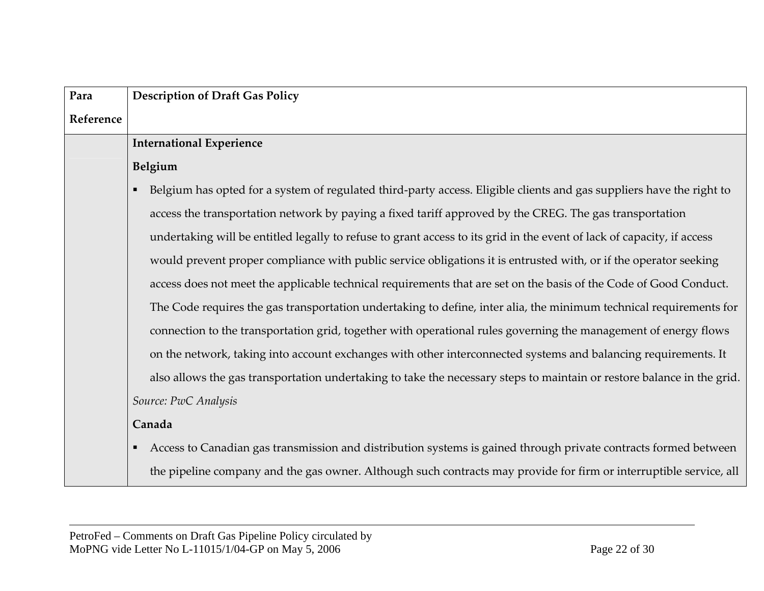| Para      | <b>Description of Draft Gas Policy</b>                                                                                 |
|-----------|------------------------------------------------------------------------------------------------------------------------|
| Reference |                                                                                                                        |
|           | <b>International Experience</b>                                                                                        |
|           | Belgium                                                                                                                |
|           | Belgium has opted for a system of regulated third-party access. Eligible clients and gas suppliers have the right to   |
|           | access the transportation network by paying a fixed tariff approved by the CREG. The gas transportation                |
|           | undertaking will be entitled legally to refuse to grant access to its grid in the event of lack of capacity, if access |
|           | would prevent proper compliance with public service obligations it is entrusted with, or if the operator seeking       |
|           | access does not meet the applicable technical requirements that are set on the basis of the Code of Good Conduct.      |
|           | The Code requires the gas transportation undertaking to define, inter alia, the minimum technical requirements for     |
|           | connection to the transportation grid, together with operational rules governing the management of energy flows        |
|           | on the network, taking into account exchanges with other interconnected systems and balancing requirements. It         |
|           | also allows the gas transportation undertaking to take the necessary steps to maintain or restore balance in the grid. |
|           | Source: PwC Analysis                                                                                                   |
|           | Canada                                                                                                                 |
|           | Access to Canadian gas transmission and distribution systems is gained through private contracts formed between        |
|           | the pipeline company and the gas owner. Although such contracts may provide for firm or interruptible service, all     |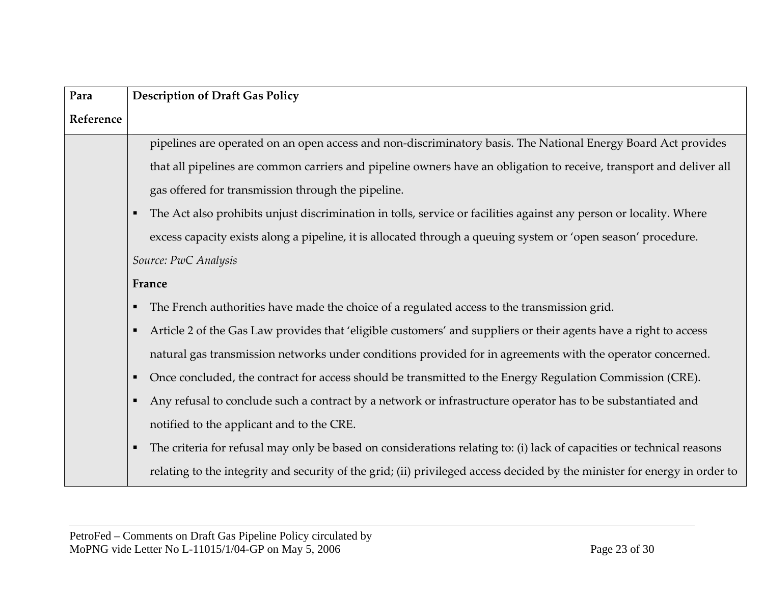| Para      | <b>Description of Draft Gas Policy</b>                                                                                             |
|-----------|------------------------------------------------------------------------------------------------------------------------------------|
| Reference |                                                                                                                                    |
|           | pipelines are operated on an open access and non-discriminatory basis. The National Energy Board Act provides                      |
|           | that all pipelines are common carriers and pipeline owners have an obligation to receive, transport and deliver all                |
|           | gas offered for transmission through the pipeline.                                                                                 |
|           | The Act also prohibits unjust discrimination in tolls, service or facilities against any person or locality. Where                 |
|           | excess capacity exists along a pipeline, it is allocated through a queuing system or 'open season' procedure.                      |
|           | Source: PwC Analysis                                                                                                               |
|           | France                                                                                                                             |
|           | The French authorities have made the choice of a regulated access to the transmission grid.                                        |
|           | Article 2 of the Gas Law provides that 'eligible customers' and suppliers or their agents have a right to access<br>$\blacksquare$ |
|           | natural gas transmission networks under conditions provided for in agreements with the operator concerned.                         |
|           | Once concluded, the contract for access should be transmitted to the Energy Regulation Commission (CRE).                           |
|           | Any refusal to conclude such a contract by a network or infrastructure operator has to be substantiated and                        |
|           | notified to the applicant and to the CRE.                                                                                          |
|           | The criteria for refusal may only be based on considerations relating to: (i) lack of capacities or technical reasons              |
|           | relating to the integrity and security of the grid; (ii) privileged access decided by the minister for energy in order to          |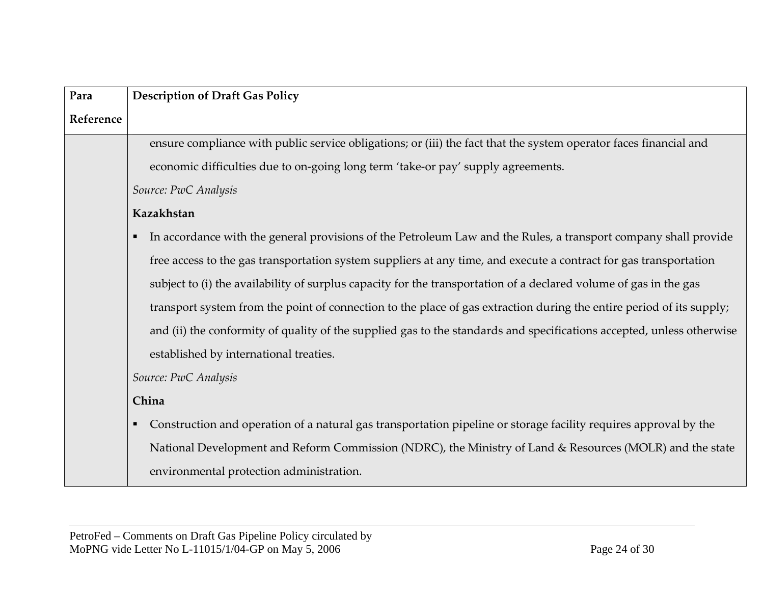| Para      | <b>Description of Draft Gas Policy</b>                                                                                |
|-----------|-----------------------------------------------------------------------------------------------------------------------|
| Reference |                                                                                                                       |
|           | ensure compliance with public service obligations; or (iii) the fact that the system operator faces financial and     |
|           | economic difficulties due to on-going long term 'take-or pay' supply agreements.                                      |
|           | Source: PwC Analysis                                                                                                  |
|           | Kazakhstan                                                                                                            |
|           | In accordance with the general provisions of the Petroleum Law and the Rules, a transport company shall provide       |
|           | free access to the gas transportation system suppliers at any time, and execute a contract for gas transportation     |
|           | subject to (i) the availability of surplus capacity for the transportation of a declared volume of gas in the gas     |
|           | transport system from the point of connection to the place of gas extraction during the entire period of its supply;  |
|           | and (ii) the conformity of quality of the supplied gas to the standards and specifications accepted, unless otherwise |
|           | established by international treaties.                                                                                |
|           | Source: PwC Analysis                                                                                                  |
|           | China                                                                                                                 |
|           | Construction and operation of a natural gas transportation pipeline or storage facility requires approval by the      |
|           | National Development and Reform Commission (NDRC), the Ministry of Land & Resources (MOLR) and the state              |
|           | environmental protection administration.                                                                              |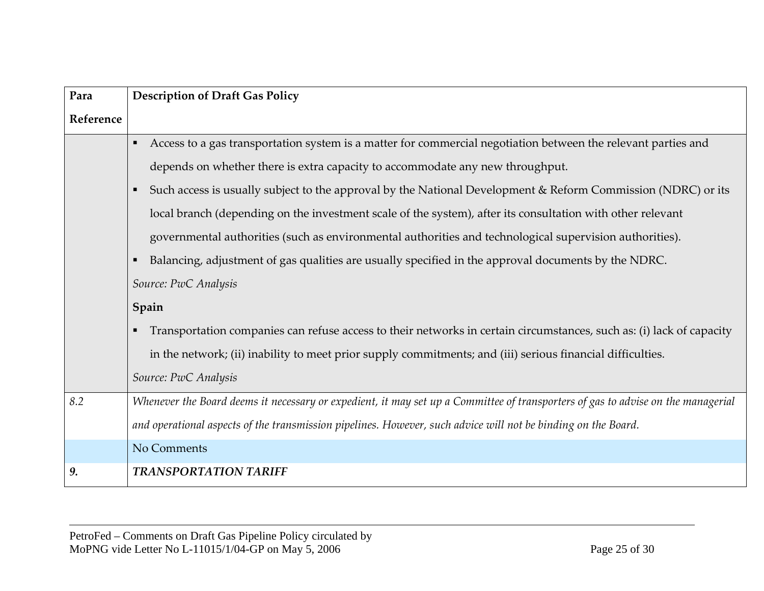| Para      | <b>Description of Draft Gas Policy</b>                                                                                           |
|-----------|----------------------------------------------------------------------------------------------------------------------------------|
| Reference |                                                                                                                                  |
|           | Access to a gas transportation system is a matter for commercial negotiation between the relevant parties and<br>٠               |
|           | depends on whether there is extra capacity to accommodate any new throughput.                                                    |
|           | Such access is usually subject to the approval by the National Development & Reform Commission (NDRC) or its<br>п                |
|           | local branch (depending on the investment scale of the system), after its consultation with other relevant                       |
|           | governmental authorities (such as environmental authorities and technological supervision authorities).                          |
|           | Balancing, adjustment of gas qualities are usually specified in the approval documents by the NDRC.<br>п                         |
|           | Source: PwC Analysis                                                                                                             |
|           | Spain                                                                                                                            |
|           | Transportation companies can refuse access to their networks in certain circumstances, such as: (i) lack of capacity             |
|           | in the network; (ii) inability to meet prior supply commitments; and (iii) serious financial difficulties.                       |
|           | Source: PwC Analysis                                                                                                             |
| 8.2       | Whenever the Board deems it necessary or expedient, it may set up a Committee of transporters of gas to advise on the managerial |
|           | and operational aspects of the transmission pipelines. However, such advice will not be binding on the Board.                    |
|           | No Comments                                                                                                                      |
| 9.        | <b>TRANSPORTATION TARIFF</b>                                                                                                     |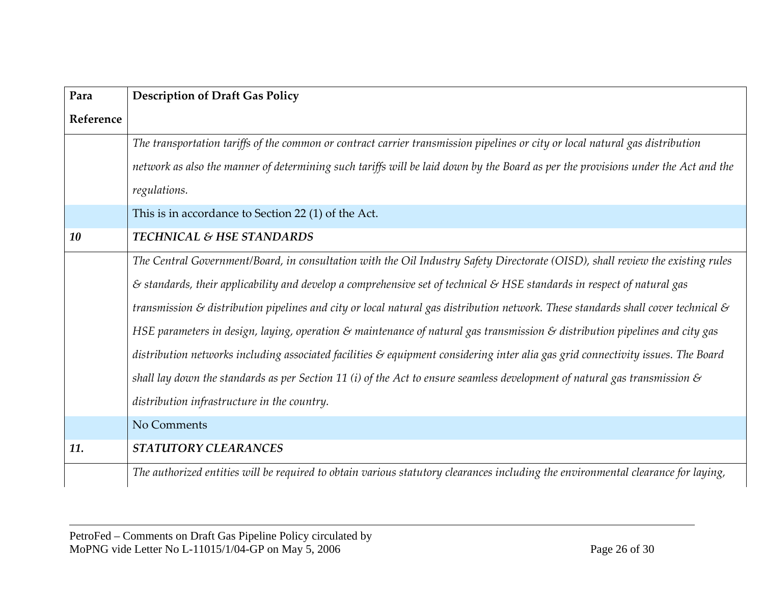| Para      | <b>Description of Draft Gas Policy</b>                                                                                                       |
|-----------|----------------------------------------------------------------------------------------------------------------------------------------------|
| Reference |                                                                                                                                              |
|           | The transportation tariffs of the common or contract carrier transmission pipelines or city or local natural gas distribution                |
|           | network as also the manner of determining such tariffs will be laid down by the Board as per the provisions under the Act and the            |
|           | regulations.                                                                                                                                 |
|           | This is in accordance to Section 22 (1) of the Act.                                                                                          |
| 10        | <b>TECHNICAL &amp; HSE STANDARDS</b>                                                                                                         |
|           | The Central Government/Board, in consultation with the Oil Industry Safety Directorate (OISD), shall review the existing rules               |
|           | $\epsilon$ standards, their applicability and develop a comprehensive set of technical $\epsilon$ HSE standards in respect of natural gas    |
|           | transmission & distribution pipelines and city or local natural gas distribution network. These standards shall cover technical $\mathcal S$ |
|           | HSE parameters in design, laying, operation & maintenance of natural gas transmission & distribution pipelines and city gas                  |
|           | distribution networks including associated facilities & equipment considering inter alia gas grid connectivity issues. The Board             |
|           | shall lay down the standards as per Section 11 (i) of the Act to ensure seamless development of natural gas transmission $\mathcal S$        |
|           | distribution infrastructure in the country.                                                                                                  |
|           | No Comments                                                                                                                                  |
| 11.       | STATUTORY CLEARANCES                                                                                                                         |
|           | The authorized entities will be required to obtain various statutory clearances including the environmental clearance for laying,            |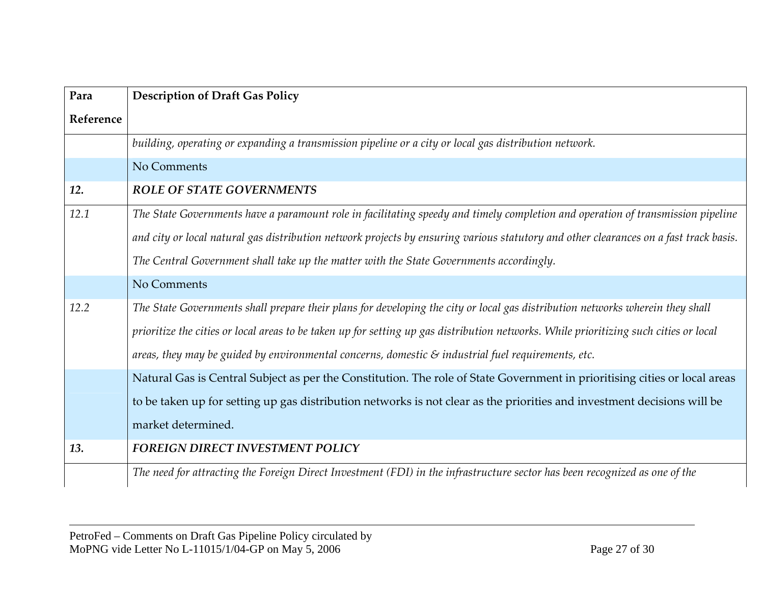| Para      | <b>Description of Draft Gas Policy</b>                                                                                                |
|-----------|---------------------------------------------------------------------------------------------------------------------------------------|
| Reference |                                                                                                                                       |
|           | building, operating or expanding a transmission pipeline or a city or local gas distribution network.                                 |
|           | No Comments                                                                                                                           |
| 12.       | <b>ROLE OF STATE GOVERNMENTS</b>                                                                                                      |
| 12.1      | The State Governments have a paramount role in facilitating speedy and timely completion and operation of transmission pipeline       |
|           | and city or local natural gas distribution network projects by ensuring various statutory and other clearances on a fast track basis. |
|           | The Central Government shall take up the matter with the State Governments accordingly.                                               |
|           | No Comments                                                                                                                           |
| 12.2      | The State Governments shall prepare their plans for developing the city or local gas distribution networks wherein they shall         |
|           | prioritize the cities or local areas to be taken up for setting up gas distribution networks. While prioritizing such cities or local |
|           | areas, they may be guided by environmental concerns, domestic $\mathcal S$ industrial fuel requirements, etc.                         |
|           | Natural Gas is Central Subject as per the Constitution. The role of State Government in prioritising cities or local areas            |
|           | to be taken up for setting up gas distribution networks is not clear as the priorities and investment decisions will be               |
|           | market determined.                                                                                                                    |
| 13.       | <b>FOREIGN DIRECT INVESTMENT POLICY</b>                                                                                               |
|           | The need for attracting the Foreign Direct Investment (FDI) in the infrastructure sector has been recognized as one of the            |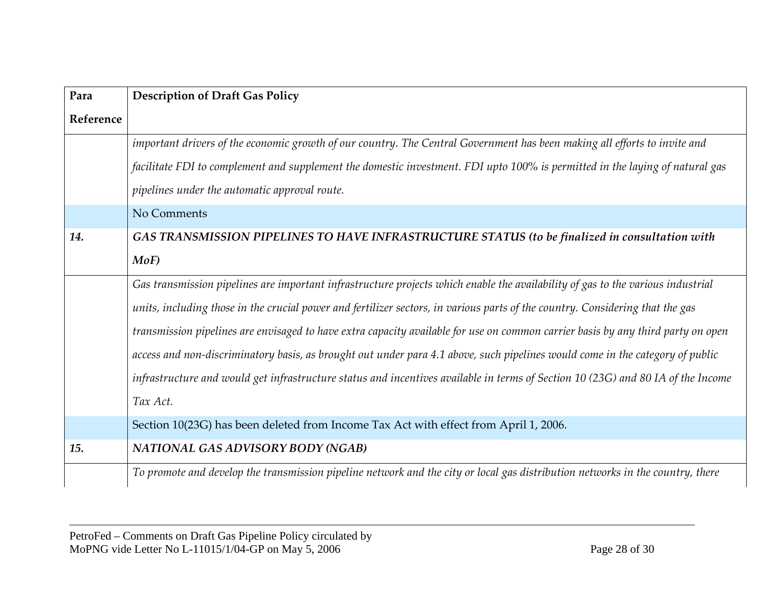| Para      | <b>Description of Draft Gas Policy</b>                                                                                           |
|-----------|----------------------------------------------------------------------------------------------------------------------------------|
| Reference |                                                                                                                                  |
|           | important drivers of the economic growth of our country. The Central Government has been making all efforts to invite and        |
|           | facilitate FDI to complement and supplement the domestic investment. FDI upto 100% is permitted in the laying of natural gas     |
|           | pipelines under the automatic approval route.                                                                                    |
|           | No Comments                                                                                                                      |
| 14.       | GAS TRANSMISSION PIPELINES TO HAVE INFRASTRUCTURE STATUS (to be finalized in consultation with                                   |
|           | MoF                                                                                                                              |
|           | Gas transmission pipelines are important infrastructure projects which enable the availability of gas to the various industrial  |
|           | units, including those in the crucial power and fertilizer sectors, in various parts of the country. Considering that the gas    |
|           | transmission pipelines are envisaged to have extra capacity available for use on common carrier basis by any third party on open |
|           | access and non-discriminatory basis, as brought out under para 4.1 above, such pipelines would come in the category of public    |
|           | infrastructure and would get infrastructure status and incentives available in terms of Section 10 (23G) and 80 IA of the Income |
|           | Tax Act.                                                                                                                         |
|           | Section 10(23G) has been deleted from Income Tax Act with effect from April 1, 2006.                                             |
| 15.       | <b>NATIONAL GAS ADVISORY BODY (NGAB)</b>                                                                                         |
|           | To promote and develop the transmission pipeline network and the city or local gas distribution networks in the country, there   |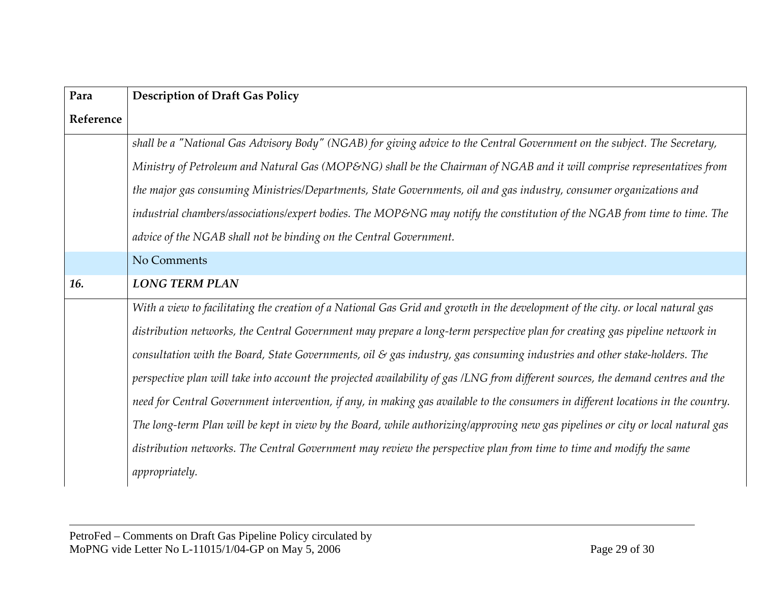| Para      | <b>Description of Draft Gas Policy</b>                                                                                            |
|-----------|-----------------------------------------------------------------------------------------------------------------------------------|
| Reference |                                                                                                                                   |
|           | shall be a "National Gas Advisory Body" (NGAB) for giving advice to the Central Government on the subject. The Secretary,         |
|           | Ministry of Petroleum and Natural Gas (MOP&NG) shall be the Chairman of NGAB and it will comprise representatives from            |
|           | the major gas consuming Ministries/Departments, State Governments, oil and gas industry, consumer organizations and               |
|           | industrial chambers/associations/expert bodies. The MOP&NG may notify the constitution of the NGAB from time to time. The         |
|           | advice of the NGAB shall not be binding on the Central Government.                                                                |
|           | No Comments                                                                                                                       |
| 16.       | <b>LONG TERM PLAN</b>                                                                                                             |
|           | With a view to facilitating the creation of a National Gas Grid and growth in the development of the city. or local natural gas   |
|           | distribution networks, the Central Government may prepare a long-term perspective plan for creating gas pipeline network in       |
|           | consultation with the Board, State Governments, oil & gas industry, gas consuming industries and other stake-holders. The         |
|           | perspective plan will take into account the projected availability of gas /LNG from different sources, the demand centres and the |
|           | need for Central Government intervention, if any, in making gas available to the consumers in different locations in the country. |
|           | The long-term Plan will be kept in view by the Board, while authorizing/approving new gas pipelines or city or local natural gas  |
|           | distribution networks. The Central Government may review the perspective plan from time to time and modify the same               |
|           | appropriately.                                                                                                                    |